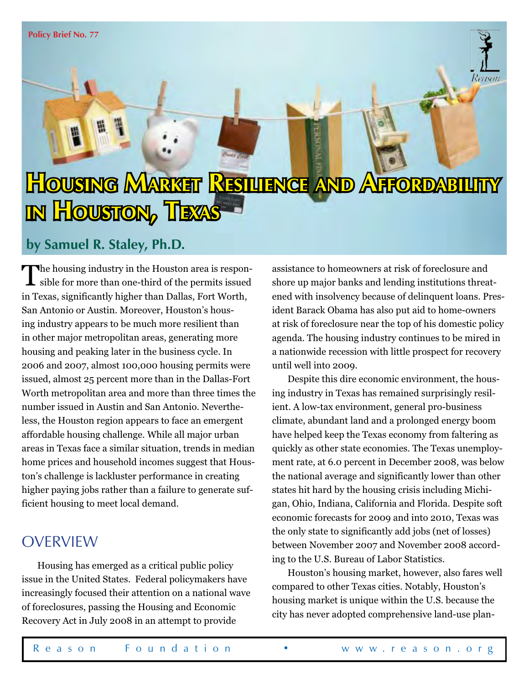# **Housing Market Resilience and Affordability in Houston, Texas**

#### **by Samuel R. Staley, Ph.D.**

The housing industry in the Houston area is responsible for more than one-third of the permits issued in Texas, significantly higher than Dallas, Fort Worth, San Antonio or Austin. Moreover, Houston's housing industry appears to be much more resilient than in other major metropolitan areas, generating more housing and peaking later in the business cycle. In 2006 and 2007, almost 100,000 housing permits were issued, almost 25 percent more than in the Dallas-Fort Worth metropolitan area and more than three times the number issued in Austin and San Antonio. Nevertheless, the Houston region appears to face an emergent affordable housing challenge. While all major urban areas in Texas face a similar situation, trends in median home prices and household incomes suggest that Houston's challenge is lackluster performance in creating higher paying jobs rather than a failure to generate sufficient housing to meet local demand.

## **OVERVIEW**

Housing has emerged as a critical public policy issue in the United States. Federal policymakers have increasingly focused their attention on a national wave of foreclosures, passing the Housing and Economic Recovery Act in July 2008 in an attempt to provide

assistance to homeowners at risk of foreclosure and shore up major banks and lending institutions threatened with insolvency because of delinquent loans. President Barack Obama has also put aid to home-owners at risk of foreclosure near the top of his domestic policy agenda. The housing industry continues to be mired in a nationwide recession with little prospect for recovery until well into 2009.

Despite this dire economic environment, the housing industry in Texas has remained surprisingly resilient. A low-tax environment, general pro-business climate, abundant land and a prolonged energy boom have helped keep the Texas economy from faltering as quickly as other state economies. The Texas unemployment rate, at 6.0 percent in December 2008, was below the national average and significantly lower than other states hit hard by the housing crisis including Michigan, Ohio, Indiana, California and Florida. Despite soft economic forecasts for 2009 and into 2010, Texas was the only state to significantly add jobs (net of losses) between November 2007 and November 2008 according to the U.S. Bureau of Labor Statistics.

Houston's housing market, however, also fares well compared to other Texas cities. Notably, Houston's housing market is unique within the U.S. because the city has never adopted comprehensive land-use plan-

Reason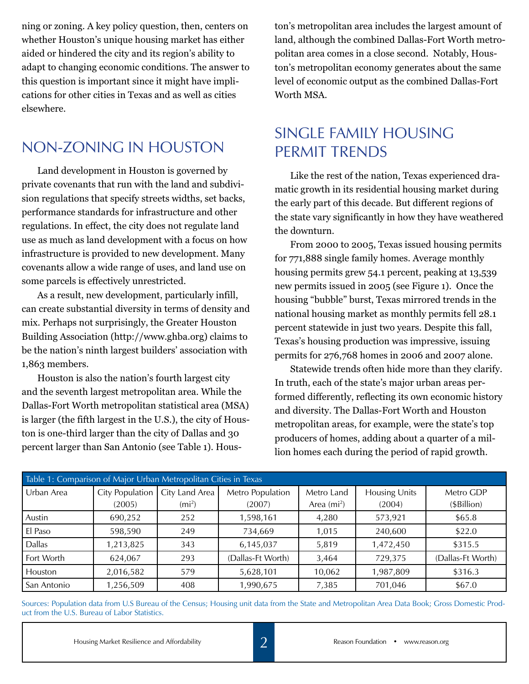ning or zoning. A key policy question, then, centers on whether Houston's unique housing market has either aided or hindered the city and its region's ability to adapt to changing economic conditions. The answer to this question is important since it might have implications for other cities in Texas and as well as cities elsewhere.

## Non-Zoning in Houston

Land development in Houston is governed by private covenants that run with the land and subdivision regulations that specify streets widths, set backs, performance standards for infrastructure and other regulations. In effect, the city does not regulate land use as much as land development with a focus on how infrastructure is provided to new development. Many covenants allow a wide range of uses, and land use on some parcels is effectively unrestricted.

As a result, new development, particularly infill, can create substantial diversity in terms of density and mix. Perhaps not surprisingly, the Greater Houston Building Association (http://www.ghba.org) claims to be the nation's ninth largest builders' association with 1,863 members.

Houston is also the nation's fourth largest city and the seventh largest metropolitan area. While the Dallas-Fort Worth metropolitan statistical area (MSA) is larger (the fifth largest in the U.S.), the city of Houston is one-third larger than the city of Dallas and 30 percent larger than San Antonio (see Table 1). Hous-

ton's metropolitan area includes the largest amount of land, although the combined Dallas-Fort Worth metropolitan area comes in a close second. Notably, Houston's metropolitan economy generates about the same level of economic output as the combined Dallas-Fort Worth MSA.

## Single Family Housing PERMIT TRENDS

Like the rest of the nation, Texas experienced dramatic growth in its residential housing market during the early part of this decade. But different regions of the state vary significantly in how they have weathered the downturn.

From 2000 to 2005, Texas issued housing permits for 771,888 single family homes. Average monthly housing permits grew 54.1 percent, peaking at 13,539 new permits issued in 2005 (see Figure 1). Once the housing "bubble" burst, Texas mirrored trends in the national housing market as monthly permits fell 28.1 percent statewide in just two years. Despite this fall, Texas's housing production was impressive, issuing permits for 276,768 homes in 2006 and 2007 alone.

Statewide trends often hide more than they clarify. In truth, each of the state's major urban areas performed differently, reflecting its own economic history and diversity. The Dallas-Fort Worth and Houston metropolitan areas, for example, were the state's top producers of homes, adding about a quarter of a million homes each during the period of rapid growth.

| Table 1: Comparison of Major Urban Metropolitan Cities in Texas |                 |                   |                   |             |               |                   |  |
|-----------------------------------------------------------------|-----------------|-------------------|-------------------|-------------|---------------|-------------------|--|
| Urban Area                                                      | City Population | City Land Area    | Metro Population  | Metro Land  | Housing Units | Metro GDP         |  |
|                                                                 | (2005)          | (m <sup>i</sup> ) | (2007)            | Area $(m2)$ | (2004)        | (\$Billion)       |  |
| Austin                                                          | 690,252         | 252               | 1,598,161         | 4,280       | 573.921       | \$65.8            |  |
| El Paso                                                         | 598.590         | 249               | 734,669           | 1,015       | 240,600       | \$22.0            |  |
| <b>Dallas</b>                                                   | 1,213,825       | 343               | 6,145,037         | 5.819       | 1,472,450     | \$315.5           |  |
| Fort Worth                                                      | 624,067         | 293               | (Dallas-Ft Worth) | 3,464       | 729,375       | (Dallas-Ft Worth) |  |
| Houston                                                         | 2,016,582       | 579               | 5,628,101         | 10,062      | 1,987,809     | \$316.3           |  |
| San Antonio                                                     | 1,256,509       | 408               | 1,990,675         | 7,385       | 701,046       | \$67.0            |  |

Sources: Population data from U.S Bureau of the Census; Housing unit data from the State and Metropolitan Area Data Book; Gross Domestic Product from the U.S. Bureau of Labor Statistics.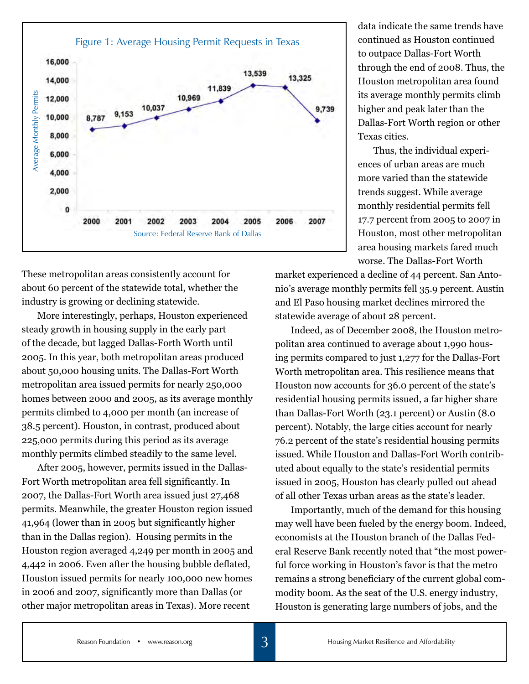

These metropolitan areas consistently account for about 60 percent of the statewide total, whether the industry is growing or declining statewide.

More interestingly, perhaps, Houston experienced steady growth in housing supply in the early part of the decade, but lagged Dallas-Forth Worth until 2005. In this year, both metropolitan areas produced about 50,000 housing units. The Dallas-Fort Worth metropolitan area issued permits for nearly 250,000 homes between 2000 and 2005, as its average monthly permits climbed to 4,000 per month (an increase of 38.5 percent). Houston, in contrast, produced about 225,000 permits during this period as its average monthly permits climbed steadily to the same level.

After 2005, however, permits issued in the Dallas-Fort Worth metropolitan area fell significantly. In 2007, the Dallas-Fort Worth area issued just 27,468 permits. Meanwhile, the greater Houston region issued 41,964 (lower than in 2005 but significantly higher than in the Dallas region). Housing permits in the Houston region averaged 4,249 per month in 2005 and 4,442 in 2006. Even after the housing bubble deflated, Houston issued permits for nearly 100,000 new homes in 2006 and 2007, significantly more than Dallas (or other major metropolitan areas in Texas). More recent

data indicate the same trends have continued as Houston continued to outpace Dallas-Fort Worth through the end of 2008. Thus, the Houston metropolitan area found its average monthly permits climb higher and peak later than the Dallas-Fort Worth region or other Texas cities.

Thus, the individual experiences of urban areas are much more varied than the statewide trends suggest. While average monthly residential permits fell 17.7 percent from 2005 to 2007 in Houston, most other metropolitan area housing markets fared much worse. The Dallas-Fort Worth

market experienced a decline of 44 percent. San Antonio's average monthly permits fell 35.9 percent. Austin and El Paso housing market declines mirrored the statewide average of about 28 percent.

Indeed, as of December 2008, the Houston metropolitan area continued to average about 1,990 housing permits compared to just 1,277 for the Dallas-Fort Worth metropolitan area. This resilience means that Houston now accounts for 36.0 percent of the state's residential housing permits issued, a far higher share than Dallas-Fort Worth (23.1 percent) or Austin (8.0 percent). Notably, the large cities account for nearly 76.2 percent of the state's residential housing permits issued. While Houston and Dallas-Fort Worth contributed about equally to the state's residential permits issued in 2005, Houston has clearly pulled out ahead of all other Texas urban areas as the state's leader.

Importantly, much of the demand for this housing may well have been fueled by the energy boom. Indeed, economists at the Houston branch of the Dallas Federal Reserve Bank recently noted that "the most powerful force working in Houston's favor is that the metro remains a strong beneficiary of the current global commodity boom. As the seat of the U.S. energy industry, Houston is generating large numbers of jobs, and the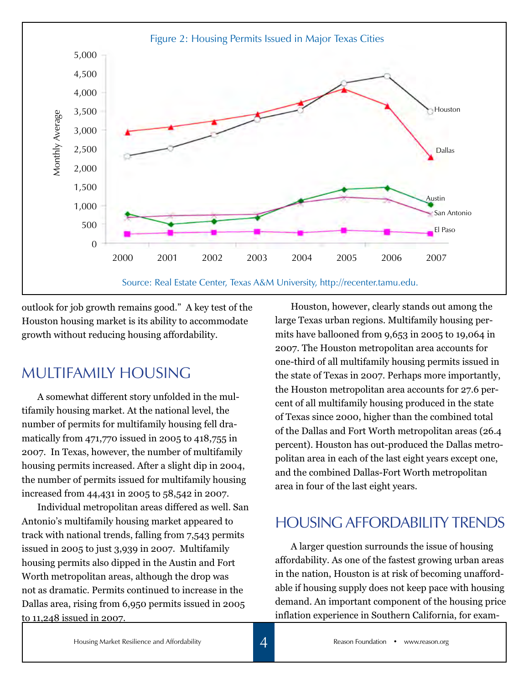

outlook for job growth remains good." A key test of the Houston housing market is its ability to accommodate growth without reducing housing affordability.

## Multifamily Housing

A somewhat different story unfolded in the multifamily housing market. At the national level, the number of permits for multifamily housing fell dramatically from 471,770 issued in 2005 to 418,755 in 2007. In Texas, however, the number of multifamily housing permits increased. After a slight dip in 2004, the number of permits issued for multifamily housing increased from 44,431 in 2005 to 58,542 in 2007.

Individual metropolitan areas differed as well. San Antonio's multifamily housing market appeared to track with national trends, falling from 7,543 permits issued in 2005 to just 3,939 in 2007. Multifamily housing permits also dipped in the Austin and Fort Worth metropolitan areas, although the drop was not as dramatic. Permits continued to increase in the Dallas area, rising from 6,950 permits issued in 2005 to 11,248 issued in 2007.

Houston, however, clearly stands out among the large Texas urban regions. Multifamily housing permits have ballooned from 9,653 in 2005 to 19,064 in 2007. The Houston metropolitan area accounts for one-third of all multifamily housing permits issued in the state of Texas in 2007. Perhaps more importantly, the Houston metropolitan area accounts for 27.6 percent of all multifamily housing produced in the state of Texas since 2000, higher than the combined total of the Dallas and Fort Worth metropolitan areas (26.4 percent). Houston has out-produced the Dallas metropolitan area in each of the last eight years except one, and the combined Dallas-Fort Worth metropolitan area in four of the last eight years.

## Housing Affordability Trends

A larger question surrounds the issue of housing affordability. As one of the fastest growing urban areas in the nation, Houston is at risk of becoming unaffordable if housing supply does not keep pace with housing demand. An important component of the housing price inflation experience in Southern California, for exam-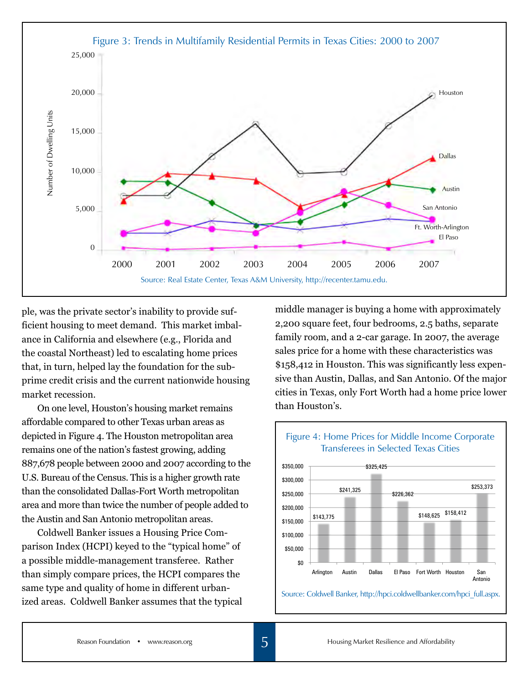

ple, was the private sector's inability to provide sufficient housing to meet demand. This market imbalance in California and elsewhere (e.g., Florida and the coastal Northeast) led to escalating home prices that, in turn, helped lay the foundation for the subprime credit crisis and the current nationwide housing market recession.

On one level, Houston's housing market remains affordable compared to other Texas urban areas as depicted in Figure 4. The Houston metropolitan area remains one of the nation's fastest growing, adding 887,678 people between 2000 and 2007 according to the U.S. Bureau of the Census. This is a higher growth rate than the consolidated Dallas-Fort Worth metropolitan area and more than twice the number of people added to the Austin and San Antonio metropolitan areas.

Coldwell Banker issues a Housing Price Comparison Index (HCPI) keyed to the "typical home" of a possible middle-management transferee. Rather than simply compare prices, the HCPI compares the same type and quality of home in different urbanized areas. Coldwell Banker assumes that the typical middle manager is buying a home with approximately 2,200 square feet, four bedrooms, 2.5 baths, separate family room, and a 2-car garage. In 2007, the average sales price for a home with these characteristics was \$158,412 in Houston. This was significantly less expensive than Austin, Dallas, and San Antonio. Of the major cities in Texas, only Fort Worth had a home price lower than Houston's.

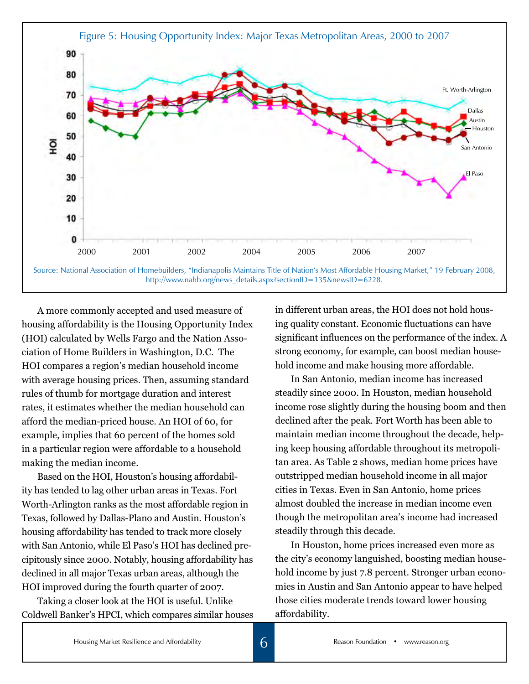

A more commonly accepted and used measure of housing affordability is the Housing Opportunity Index (HOI) calculated by Wells Fargo and the Nation Association of Home Builders in Washington, D.C. The HOI compares a region's median household income with average housing prices. Then, assuming standard rules of thumb for mortgage duration and interest rates, it estimates whether the median household can afford the median-priced house. An HOI of 60, for example, implies that 60 percent of the homes sold in a particular region were affordable to a household making the median income.

Based on the HOI, Houston's housing affordability has tended to lag other urban areas in Texas. Fort Worth-Arlington ranks as the most affordable region in Texas, followed by Dallas-Plano and Austin. Houston's housing affordability has tended to track more closely with San Antonio, while El Paso's HOI has declined precipitously since 2000. Notably, housing affordability has declined in all major Texas urban areas, although the HOI improved during the fourth quarter of 2007.

Taking a closer look at the HOI is useful. Unlike Coldwell Banker's HPCI, which compares similar houses in different urban areas, the HOI does not hold housing quality constant. Economic fluctuations can have significant influences on the performance of the index. A strong economy, for example, can boost median household income and make housing more affordable.

In San Antonio, median income has increased steadily since 2000. In Houston, median household income rose slightly during the housing boom and then declined after the peak. Fort Worth has been able to maintain median income throughout the decade, helping keep housing affordable throughout its metropolitan area. As Table 2 shows, median home prices have outstripped median household income in all major cities in Texas. Even in San Antonio, home prices almost doubled the increase in median income even though the metropolitan area's income had increased steadily through this decade.

In Houston, home prices increased even more as the city's economy languished, boosting median household income by just 7.8 percent. Stronger urban economies in Austin and San Antonio appear to have helped those cities moderate trends toward lower housing affordability.